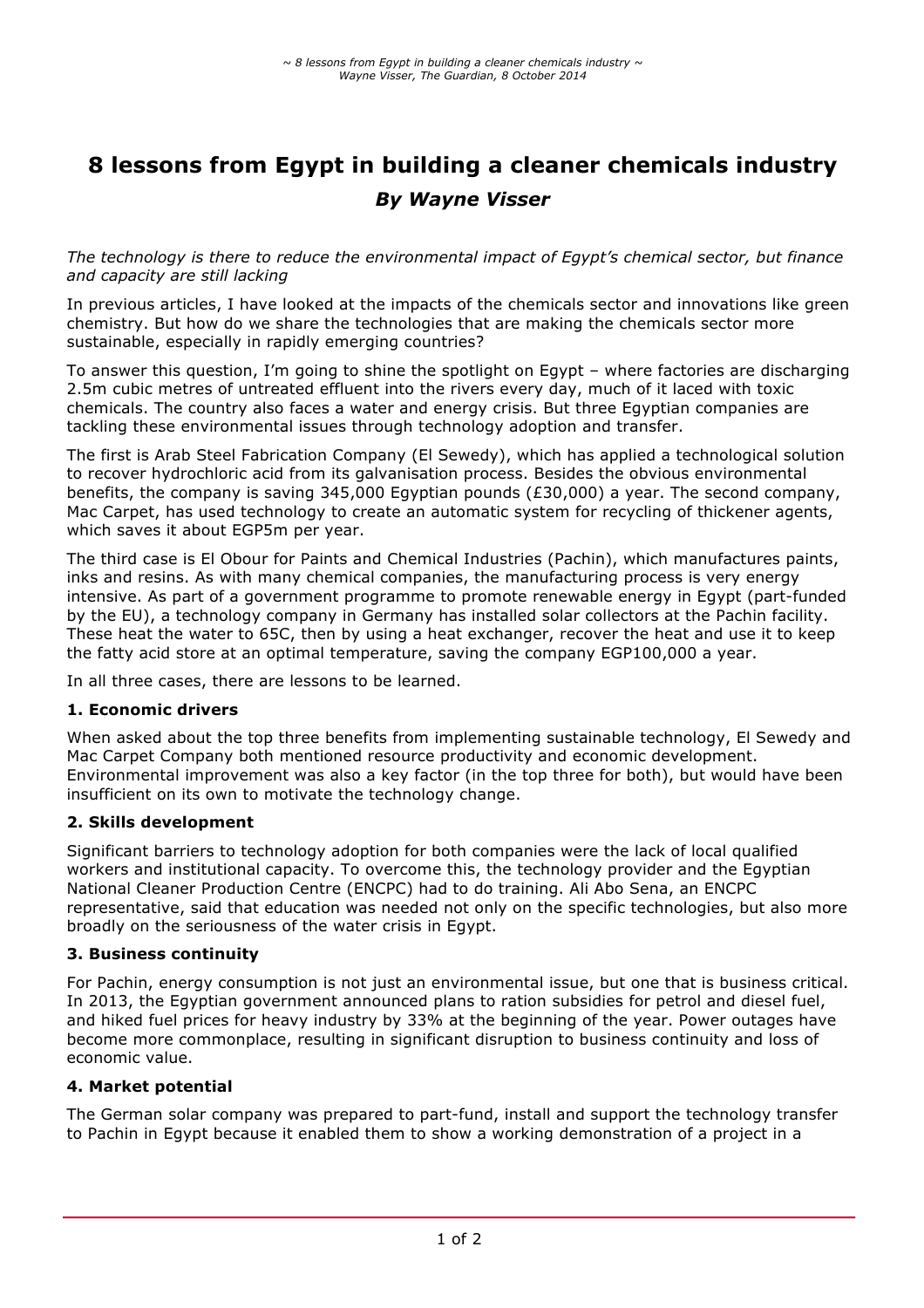# **8 lessons from Egypt in building a cleaner chemicals industry** *By Wayne Visser*

*The technology is there to reduce the environmental impact of Egypt's chemical sector, but finance and capacity are still lacking*

In previous articles, I have looked at the impacts of the chemicals sector and innovations like green chemistry. But how do we share the technologies that are making the chemicals sector more sustainable, especially in rapidly emerging countries?

To answer this question, I'm going to shine the spotlight on Egypt – where factories are discharging 2.5m cubic metres of untreated effluent into the rivers every day, much of it laced with toxic chemicals. The country also faces a water and energy crisis. But three Egyptian companies are tackling these environmental issues through technology adoption and transfer.

The first is Arab Steel Fabrication Company (El Sewedy), which has applied a technological solution to recover hydrochloric acid from its galvanisation process. Besides the obvious environmental benefits, the company is saving 345,000 Egyptian pounds (£30,000) a year. The second company, Mac Carpet, has used technology to create an automatic system for recycling of thickener agents, which saves it about EGP5m per year.

The third case is El Obour for Paints and Chemical Industries (Pachin), which manufactures paints, inks and resins. As with many chemical companies, the manufacturing process is very energy intensive. As part of a government programme to promote renewable energy in Egypt (part-funded by the EU), a technology company in Germany has installed solar collectors at the Pachin facility. These heat the water to 65C, then by using a heat exchanger, recover the heat and use it to keep the fatty acid store at an optimal temperature, saving the company EGP100,000 a year.

In all three cases, there are lessons to be learned.

#### **1. Economic drivers**

When asked about the top three benefits from implementing sustainable technology, El Sewedy and Mac Carpet Company both mentioned resource productivity and economic development. Environmental improvement was also a key factor (in the top three for both), but would have been insufficient on its own to motivate the technology change.

#### **2. Skills development**

Significant barriers to technology adoption for both companies were the lack of local qualified workers and institutional capacity. To overcome this, the technology provider and the Egyptian National Cleaner Production Centre (ENCPC) had to do training. Ali Abo Sena, an ENCPC representative, said that education was needed not only on the specific technologies, but also more broadly on the seriousness of the water crisis in Egypt.

#### **3. Business continuity**

For Pachin, energy consumption is not just an environmental issue, but one that is business critical. In 2013, the Egyptian government announced plans to ration subsidies for petrol and diesel fuel, and hiked fuel prices for heavy industry by 33% at the beginning of the year. Power outages have become more commonplace, resulting in significant disruption to business continuity and loss of economic value.

#### **4. Market potential**

The German solar company was prepared to part-fund, install and support the technology transfer to Pachin in Egypt because it enabled them to show a working demonstration of a project in a